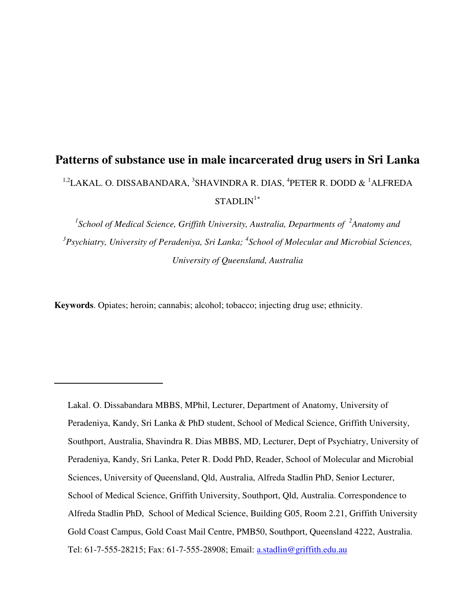# **Patterns of substance use in male incarcerated drug users in Sri Lanka**  $^{1,2}$ LAKAL. O. DISSABANDARA,  $^3$ SHAVINDRA R. DIAS,  $^4$ PETER R. DODD &  $^1$ ALFREDA  $STADIJN<sup>1</sup>$

<sup>1</sup> School of Medical Science, Griffith University, Australia, Departments of <sup>2</sup>Anatomy and <sup>3</sup> Psychiatry, University of Peradeniya, Sri Lanka; <sup>4</sup> School of Molecular and Microbial Sciences, *University of Queensland, Australia* 

**Keywords**. Opiates; heroin; cannabis; alcohol; tobacco; injecting drug use; ethnicity.

<span id="page-0-0"></span>-

Lakal. O. Dissabandara MBBS, MPhil, Lecturer, Department of Anatomy, University of Peradeniya, Kandy, Sri Lanka & PhD student, School of Medical Science, Griffith University, Southport, Australia, Shavindra R. Dias MBBS, MD, Lecturer, Dept of Psychiatry, University of Peradeniya, Kandy, Sri Lanka, Peter R. Dodd PhD, Reader, School of Molecular and Microbial Sciences, University of Queensland, Qld, Australia, Alfreda Stadlin PhD, Senior Lecturer, School of Medical Science, Griffith University, Southport, Qld, Australia. Correspondence to Alfreda Stadlin PhD, School of Medical Science, Building G05, Room 2.21, Griffith University Gold Coast Campus, Gold Coast Mail Centre, PMB50, Southport, Queensland 4222, Australia. Tel: 61-7-555-28215; Fax: 61-7-555-28908; Email: a.stadlin@griffith.edu.au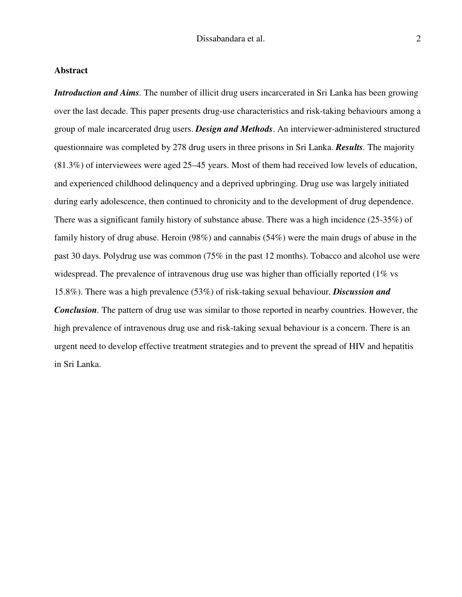# **Abstract**

*Introduction and Aims.* The number of illicit drug users incarcerated in Sri Lanka has been growing over the last decade. This paper presents drug-use characteristics and risk-taking behaviours among a group of male incarcerated drug users. *Design and Methods*. An interviewer-administered structured questionnaire was completed by 278 drug users in three prisons in Sri Lanka. *Results.* The majority (81.3%) of interviewees were aged 25–45 years. Most of them had received low levels of education, and experienced childhood delinquency and a deprived upbringing. Drug use was largely initiated during early adolescence, then continued to chronicity and to the development of drug dependence. There was a significant family history of substance abuse. There was a high incidence (25-35%) of family history of drug abuse. Heroin (98%) and cannabis (54%) were the main drugs of abuse in the past 30 days. Polydrug use was common (75% in the past 12 months). Tobacco and alcohol use were widespread. The prevalence of intravenous drug use was higher than officially reported (1% vs 15.8%). There was a high prevalence (53%) of risk-taking sexual behaviour. *Discussion and Conclusion.* The pattern of drug use was similar to those reported in nearby countries. However, the high prevalence of intravenous drug use and risk-taking sexual behaviour is a concern. There is an urgent need to develop effective treatment strategies and to prevent the spread of HIV and hepatitis in Sri Lanka.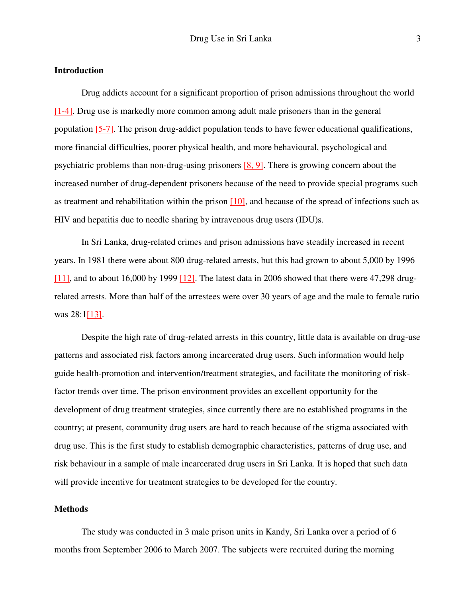# **Introduction**

Drug addicts account for a significant proportion of prison admissions throughout the world [1-4]. Drug use is markedly more common among adult male prisoners than in the general population [5-7]. The prison drug-addict population tends to have fewer educational qualifications, more financial difficulties, poorer physical health, and more behavioural, psychological and psychiatric problems than non-drug-using prisoners [8, 9]. There is growing concern about the increased number of drug-dependent prisoners because of the need to provide special programs such as treatment and rehabilitation within the prison  $[10]$ , and because of the spread of infections such as HIV and hepatitis due to needle sharing by intravenous drug users (IDU)s.

In Sri Lanka, drug-related crimes and prison admissions have steadily increased in recent years. In 1981 there were about 800 drug-related arrests, but this had grown to about 5,000 by 1996  $[11]$ , and to about 16,000 by 1999  $[12]$ . The latest data in 2006 showed that there were 47,298 drugrelated arrests. More than half of the arrestees were over 30 years of age and the male to female ratio was 28:1[13].

Despite the high rate of drug-related arrests in this country, little data is available on drug-use patterns and associated risk factors among incarcerated drug users. Such information would help guide health-promotion and intervention/treatment strategies, and facilitate the monitoring of riskfactor trends over time. The prison environment provides an excellent opportunity for the development of drug treatment strategies, since currently there are no established programs in the country; at present, community drug users are hard to reach because of the stigma associated with drug use. This is the first study to establish demographic characteristics, patterns of drug use, and risk behaviour in a sample of male incarcerated drug users in Sri Lanka. It is hoped that such data will provide incentive for treatment strategies to be developed for the country.

## **Methods**

The study was conducted in 3 male prison units in Kandy, Sri Lanka over a period of 6 months from September 2006 to March 2007. The subjects were recruited during the morning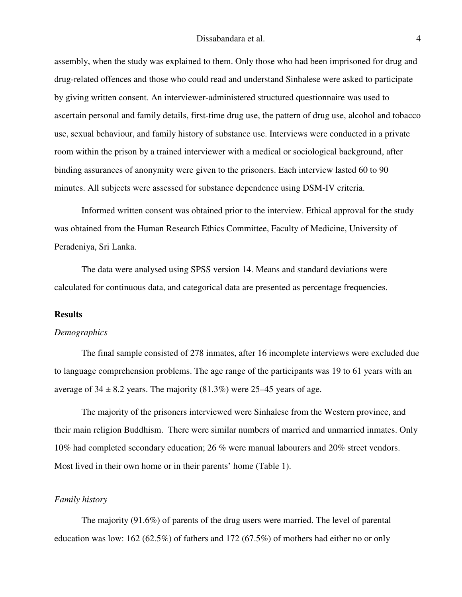assembly, when the study was explained to them. Only those who had been imprisoned for drug and drug-related offences and those who could read and understand Sinhalese were asked to participate by giving written consent. An interviewer-administered structured questionnaire was used to ascertain personal and family details, first-time drug use, the pattern of drug use, alcohol and tobacco use, sexual behaviour, and family history of substance use. Interviews were conducted in a private room within the prison by a trained interviewer with a medical or sociological background, after binding assurances of anonymity were given to the prisoners. Each interview lasted 60 to 90 minutes. All subjects were assessed for substance dependence using DSM-IV criteria.

Informed written consent was obtained prior to the interview. Ethical approval for the study was obtained from the Human Research Ethics Committee, Faculty of Medicine, University of Peradeniya, Sri Lanka.

The data were analysed using SPSS version 14. Means and standard deviations were calculated for continuous data, and categorical data are presented as percentage frequencies.

# **Results**

## *Demographics*

The final sample consisted of 278 inmates, after 16 incomplete interviews were excluded due to language comprehension problems. The age range of the participants was 19 to 61 years with an average of  $34 \pm 8.2$  years. The majority (81.3%) were 25–45 years of age.

The majority of the prisoners interviewed were Sinhalese from the Western province, and their main religion Buddhism. There were similar numbers of married and unmarried inmates. Only 10% had completed secondary education; 26 % were manual labourers and 20% street vendors. Most lived in their own home or in their parents' home (Table 1).

## *Family history*

The majority (91.6%) of parents of the drug users were married. The level of parental education was low: 162 (62.5%) of fathers and 172 (67.5%) of mothers had either no or only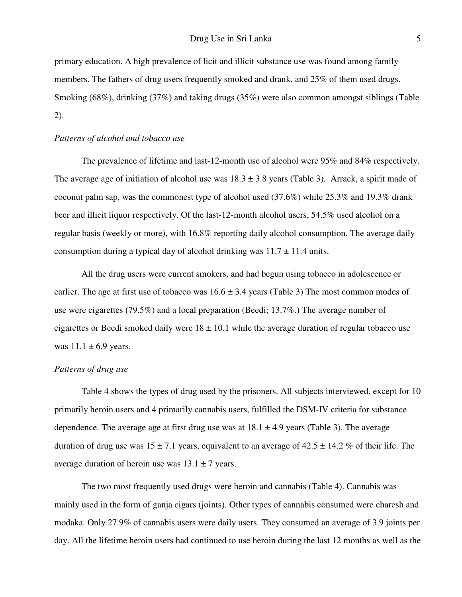primary education. A high prevalence of licit and illicit substance use was found among family members. The fathers of drug users frequently smoked and drank, and 25% of them used drugs. Smoking (68%), drinking (37%) and taking drugs (35%) were also common amongst siblings (Table 2).

# *Patterns of alcohol and tobacco use*

The prevalence of lifetime and last-12-month use of alcohol were 95% and 84% respectively. The average age of initiation of alcohol use was  $18.3 \pm 3.8$  years (Table 3). Arrack, a spirit made of coconut palm sap, was the commonest type of alcohol used (37.6%) while 25.3% and 19.3% drank beer and illicit liquor respectively. Of the last-12-month alcohol users, 54.5% used alcohol on a regular basis (weekly or more), with 16.8% reporting daily alcohol consumption. The average daily consumption during a typical day of alcohol drinking was  $11.7 \pm 11.4$  units.

All the drug users were current smokers, and had begun using tobacco in adolescence or earlier. The age at first use of tobacco was  $16.6 \pm 3.4$  years (Table 3) The most common modes of use were cigarettes (79.5%) and a local preparation (Beedi; 13.7%.) The average number of cigarettes or Beedi smoked daily were  $18 \pm 10.1$  while the average duration of regular tobacco use was  $11.1 \pm 6.9$  years.

# *Patterns of drug use*

Table 4 shows the types of drug used by the prisoners. All subjects interviewed, except for 10 primarily heroin users and 4 primarily cannabis users, fulfilled the DSM-IV criteria for substance dependence. The average age at first drug use was at  $18.1 \pm 4.9$  years (Table 3). The average duration of drug use was  $15 \pm 7.1$  years, equivalent to an average of  $42.5 \pm 14.2$  % of their life. The average duration of heroin use was  $13.1 \pm 7$  years.

The two most frequently used drugs were heroin and cannabis (Table 4). Cannabis was mainly used in the form of ganja cigars (joints). Other types of cannabis consumed were charesh and modaka. Only 27.9% of cannabis users were daily users. They consumed an average of 3.9 joints per day. All the lifetime heroin users had continued to use heroin during the last 12 months as well as the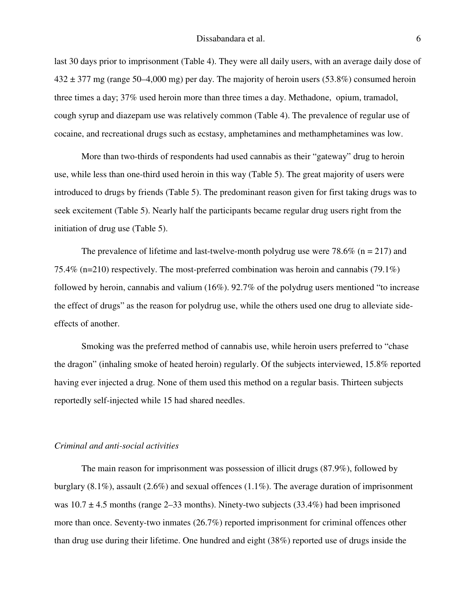last 30 days prior to imprisonment (Table 4). They were all daily users, with an average daily dose of  $432 \pm 377$  mg (range 50–4,000 mg) per day. The majority of heroin users (53.8%) consumed heroin three times a day; 37% used heroin more than three times a day. Methadone, opium, tramadol, cough syrup and diazepam use was relatively common (Table 4). The prevalence of regular use of cocaine, and recreational drugs such as ecstasy, amphetamines and methamphetamines was low.

More than two-thirds of respondents had used cannabis as their "gateway" drug to heroin use, while less than one-third used heroin in this way (Table 5). The great majority of users were introduced to drugs by friends (Table 5). The predominant reason given for first taking drugs was to seek excitement (Table 5). Nearly half the participants became regular drug users right from the initiation of drug use (Table 5).

The prevalence of lifetime and last-twelve-month polydrug use were  $78.6\%$  (n = 217) and 75.4% (n=210) respectively. The most-preferred combination was heroin and cannabis (79.1%) followed by heroin, cannabis and valium (16%). 92.7% of the polydrug users mentioned "to increase the effect of drugs" as the reason for polydrug use, while the others used one drug to alleviate sideeffects of another.

Smoking was the preferred method of cannabis use, while heroin users preferred to "chase the dragon" (inhaling smoke of heated heroin) regularly. Of the subjects interviewed, 15.8% reported having ever injected a drug. None of them used this method on a regular basis. Thirteen subjects reportedly self-injected while 15 had shared needles.

## *Criminal and anti-social activities*

The main reason for imprisonment was possession of illicit drugs (87.9%), followed by burglary (8.1%), assault (2.6%) and sexual offences (1.1%). The average duration of imprisonment was  $10.7 \pm 4.5$  months (range 2–33 months). Ninety-two subjects (33.4%) had been imprisoned more than once. Seventy-two inmates (26.7%) reported imprisonment for criminal offences other than drug use during their lifetime. One hundred and eight (38%) reported use of drugs inside the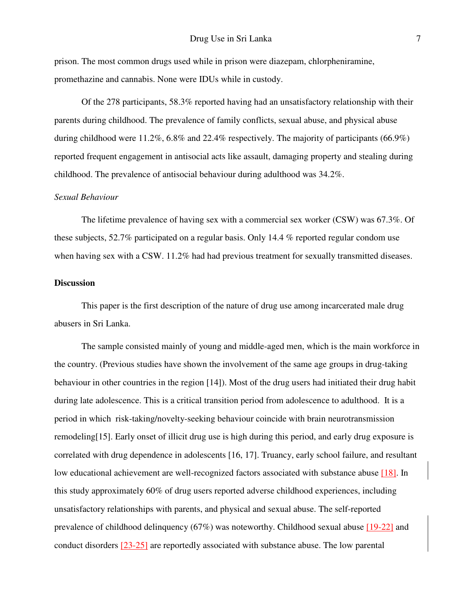prison. The most common drugs used while in prison were diazepam, chlorpheniramine, promethazine and cannabis. None were IDUs while in custody.

Of the 278 participants, 58.3% reported having had an unsatisfactory relationship with their parents during childhood. The prevalence of family conflicts, sexual abuse, and physical abuse during childhood were 11.2%, 6.8% and 22.4% respectively. The majority of participants (66.9%) reported frequent engagement in antisocial acts like assault, damaging property and stealing during childhood. The prevalence of antisocial behaviour during adulthood was 34.2%.

## *Sexual Behaviour*

The lifetime prevalence of having sex with a commercial sex worker (CSW) was 67.3%. Of these subjects, 52.7% participated on a regular basis. Only 14.4 % reported regular condom use when having sex with a CSW. 11.2% had had previous treatment for sexually transmitted diseases.

### **Discussion**

This paper is the first description of the nature of drug use among incarcerated male drug abusers in Sri Lanka.

The sample consisted mainly of young and middle-aged men, which is the main workforce in the country. (Previous studies have shown the involvement of the same age groups in drug-taking behaviour in other countries in the region [14]). Most of the drug users had initiated their drug habit during late adolescence. This is a critical transition period from adolescence to adulthood. It is a period in which risk-taking/novelty-seeking behaviour coincide with brain neurotransmission remodeling[15]. Early onset of illicit drug use is high during this period, and early drug exposure is correlated with drug dependence in adolescents [16, 17]. Truancy, early school failure, and resultant low educational achievement are well-recognized factors associated with substance abuse [18]. In this study approximately 60% of drug users reported adverse childhood experiences, including unsatisfactory relationships with parents, and physical and sexual abuse. The self-reported prevalence of childhood delinquency (67%) was noteworthy. Childhood sexual abuse [19-22] and conduct disorders [23-25] are reportedly associated with substance abuse. The low parental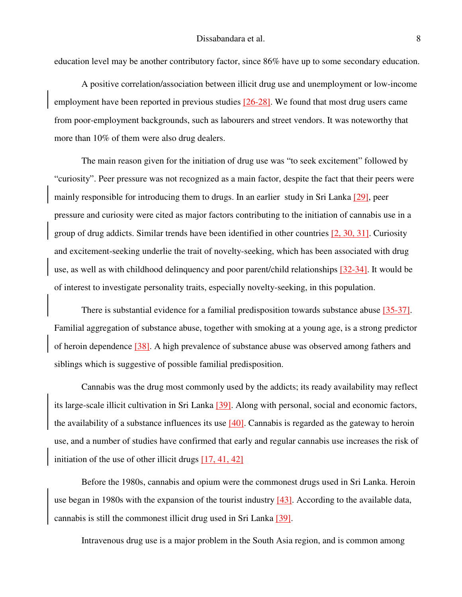education level may be another contributory factor, since 86% have up to some secondary education.

A positive correlation/association between illicit drug use and unemployment or low-income employment have been reported in previous studies [26-28]. We found that most drug users came from poor-employment backgrounds, such as labourers and street vendors. It was noteworthy that more than 10% of them were also drug dealers.

The main reason given for the initiation of drug use was "to seek excitement" followed by "curiosity". Peer pressure was not recognized as a main factor, despite the fact that their peers were mainly responsible for introducing them to drugs. In an earlier study in Sri Lanka [29], peer pressure and curiosity were cited as major factors contributing to the initiation of cannabis use in a group of drug addicts. Similar trends have been identified in other countries  $[2, 30, 31]$ . Curiosity and excitement-seeking underlie the trait of novelty-seeking, which has been associated with drug use, as well as with childhood delinquency and poor parent/child relationships [32-34]. It would be of interest to investigate personality traits, especially novelty-seeking, in this population.

There is substantial evidence for a familial predisposition towards substance abuse [35-37]. Familial aggregation of substance abuse, together with smoking at a young age, is a strong predictor of heroin dependence [38]. A high prevalence of substance abuse was observed among fathers and siblings which is suggestive of possible familial predisposition.

Cannabis was the drug most commonly used by the addicts; its ready availability may reflect its large-scale illicit cultivation in Sri Lanka [39]. Along with personal, social and economic factors, the availability of a substance influences its use  $[40]$ . Cannabis is regarded as the gateway to heroin use, and a number of studies have confirmed that early and regular cannabis use increases the risk of initiation of the use of other illicit drugs  $[17, 41, 42]$ 

Before the 1980s, cannabis and opium were the commonest drugs used in Sri Lanka. Heroin use began in 1980s with the expansion of the tourist industry [43]. According to the available data, cannabis is still the commonest illicit drug used in Sri Lanka [39].

Intravenous drug use is a major problem in the South Asia region, and is common among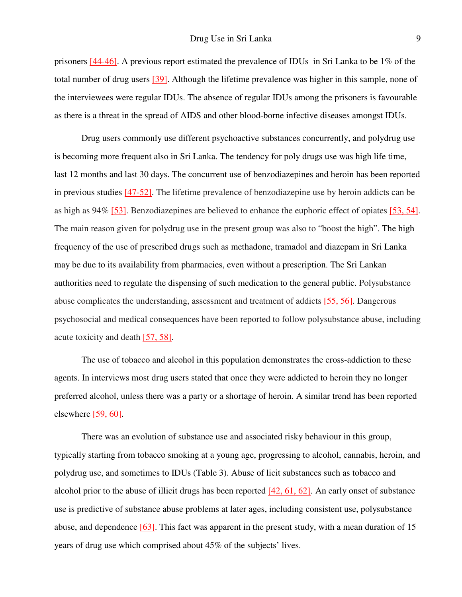prisoners [44-46]. A previous report estimated the prevalence of IDUs in Sri Lanka to be 1% of the total number of drug users [39]. Although the lifetime prevalence was higher in this sample, none of the interviewees were regular IDUs. The absence of regular IDUs among the prisoners is favourable as there is a threat in the spread of AIDS and other blood-borne infective diseases amongst IDUs.

Drug users commonly use different psychoactive substances concurrently, and polydrug use is becoming more frequent also in Sri Lanka. The tendency for poly drugs use was high life time, last 12 months and last 30 days. The concurrent use of benzodiazepines and heroin has been reported in previous studies  $[47-52]$ . The lifetime prevalence of benzodiazepine use by heroin addicts can be as high as 94% [53]. Benzodiazepines are believed to enhance the euphoric effect of opiates [53, 54]. The main reason given for polydrug use in the present group was also to "boost the high". The high frequency of the use of prescribed drugs such as methadone, tramadol and diazepam in Sri Lanka may be due to its availability from pharmacies, even without a prescription. The Sri Lankan authorities need to regulate the dispensing of such medication to the general public. Polysubstance abuse complicates the understanding, assessment and treatment of addicts [55, 56]. Dangerous psychosocial and medical consequences have been reported to follow polysubstance abuse, including acute toxicity and death [57, 58].

The use of tobacco and alcohol in this population demonstrates the cross-addiction to these agents. In interviews most drug users stated that once they were addicted to heroin they no longer preferred alcohol, unless there was a party or a shortage of heroin. A similar trend has been reported elsewhere  $[59, 60]$ .

There was an evolution of substance use and associated risky behaviour in this group, typically starting from tobacco smoking at a young age, progressing to alcohol, cannabis, heroin, and polydrug use, and sometimes to IDUs (Table 3). Abuse of licit substances such as tobacco and alcohol prior to the abuse of illicit drugs has been reported  $[42, 61, 62]$ . An early onset of substance use is predictive of substance abuse problems at later ages, including consistent use, polysubstance abuse, and dependence  $[63]$ . This fact was apparent in the present study, with a mean duration of 15 years of drug use which comprised about 45% of the subjects' lives.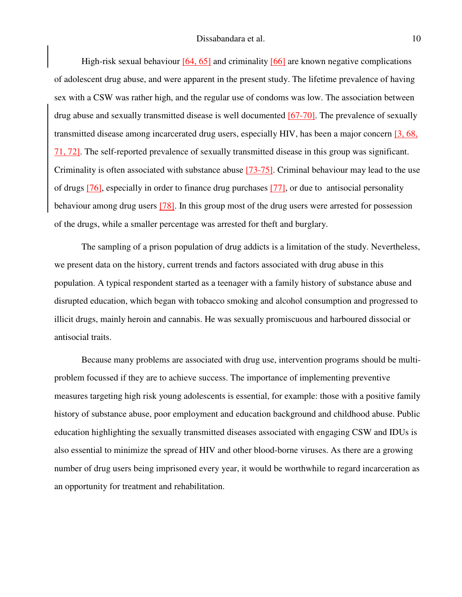High-risk sexual behaviour  $[64, 65]$  and criminality  $[66]$  are known negative complications of adolescent drug abuse, and were apparent in the present study. The lifetime prevalence of having sex with a CSW was rather high, and the regular use of condoms was low. The association between drug abuse and sexually transmitted disease is well documented  $[67-70]$ . The prevalence of sexually transmitted disease among incarcerated drug users, especially HIV, has been a major concern [3, 68, 71, 72]. The self-reported prevalence of sexually transmitted disease in this group was significant. Criminality is often associated with substance abuse [73-75]. Criminal behaviour may lead to the use of drugs [76], especially in order to finance drug purchases [77], or due to antisocial personality behaviour among drug users [78]. In this group most of the drug users were arrested for possession of the drugs, while a smaller percentage was arrested for theft and burglary.

The sampling of a prison population of drug addicts is a limitation of the study. Nevertheless, we present data on the history, current trends and factors associated with drug abuse in this population. A typical respondent started as a teenager with a family history of substance abuse and disrupted education, which began with tobacco smoking and alcohol consumption and progressed to illicit drugs, mainly heroin and cannabis. He was sexually promiscuous and harboured dissocial or antisocial traits.

Because many problems are associated with drug use, intervention programs should be multiproblem focussed if they are to achieve success. The importance of implementing preventive measures targeting high risk young adolescents is essential, for example: those with a positive family history of substance abuse, poor employment and education background and childhood abuse. Public education highlighting the sexually transmitted diseases associated with engaging CSW and IDUs is also essential to minimize the spread of HIV and other blood-borne viruses. As there are a growing number of drug users being imprisoned every year, it would be worthwhile to regard incarceration as an opportunity for treatment and rehabilitation.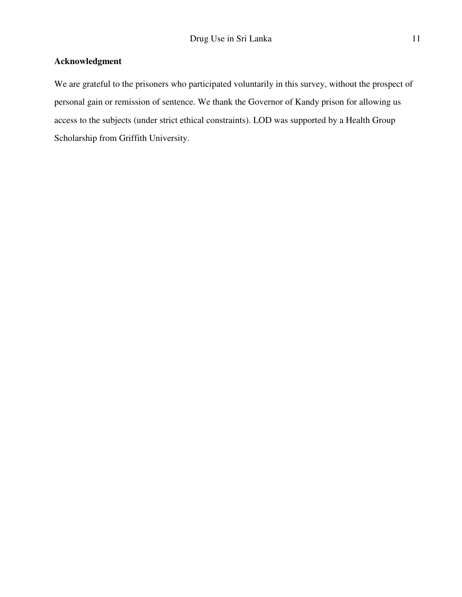# **Acknowledgment**

We are grateful to the prisoners who participated voluntarily in this survey, without the prospect of personal gain or remission of sentence. We thank the Governor of Kandy prison for allowing us access to the subjects (under strict ethical constraints). LOD was supported by a Health Group Scholarship from Griffith University.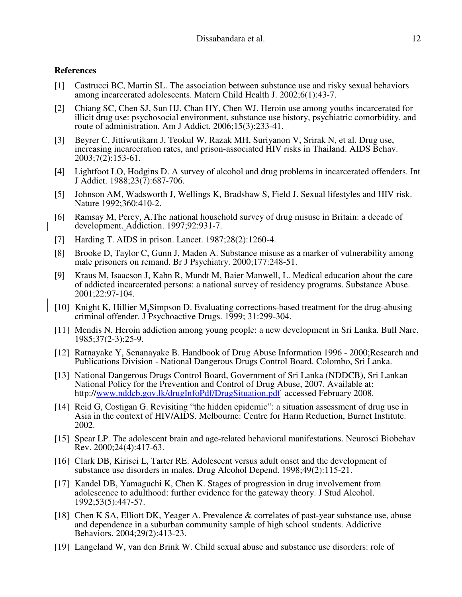## **References**

- [1] Castrucci BC, Martin SL. The association between substance use and risky sexual behaviors among incarcerated adolescents. Matern Child Health J. 2002;6(1):43-7.
- [2] Chiang SC, Chen SJ, Sun HJ, Chan HY, Chen WJ. Heroin use among youths incarcerated for illicit drug use: psychosocial environment, substance use history, psychiatric comorbidity, and route of administration. Am J Addict. 2006;15(3):233-41.
- [3] Beyrer C, Jittiwutikarn J, Teokul W, Razak MH, Suriyanon V, Srirak N, et al. Drug use, increasing incarceration rates, and prison-associated HIV risks in Thailand. AIDS Behav.  $2003;7(2):153-61.$
- [4] Lightfoot LO, Hodgins D. A survey of alcohol and drug problems in incarcerated offenders. Int J Addict. 1988;23(7):687-706.
- [5] Johnson AM, Wadsworth J, Wellings K, Bradshaw S, Field J. Sexual lifestyles and HIV risk. Nature 1992;360:410-2.
- [6] Ramsay M, Percy, A.The national household survey of drug misuse in Britain: a decade of development. Addiction. 1997;92:931-7.
- [7] Harding T. AIDS in prison. Lancet. 1987;28(2):1260-4.
- [8] Brooke D, Taylor C, Gunn J, Maden A. Substance misuse as a marker of vulnerability among male prisoners on remand. Br J Psychiatry. 2000;177:248-51.
- [9] Kraus M, Isaacson J, Kahn R, Mundt M, Baier Manwell, L. Medical education about the care of addicted incarcerated persons: a national survey of residency programs. Substance Abuse. 2001;22:97-104.
- [10] Knight K, Hillier M, Simpson D. Evaluating corrections-based treatment for the drug-abusing criminal offender. J Psychoactive Drugs. 1999; 31:299-304.
- [11] Mendis N. Heroin addiction among young people: a new development in Sri Lanka. Bull Narc. 1985;37(2-3):25-9.
- [12] Ratnayake Y, Senanayake B. Handbook of Drug Abuse Information 1996 2000;Research and Publications Division - National Dangerous Drugs Control Board. Colombo, Sri Lanka.
- [13] National Dangerous Drugs Control Board, Government of Sri Lanka (NDDCB), Sri Lankan National Policy for the Prevention and Control of Drug Abuse, 2007. Available at: http://www.nddcb.gov.lk/drugInfoPdf/DrugSituation.pdf accessed February 2008.
- [14] Reid G, Costigan G. Revisiting "the hidden epidemic": a situation assessment of drug use in Asia in the context of HIV/AIDS. Melbourne: Centre for Harm Reduction, Burnet Institute. 2002.
- [15] Spear LP. The adolescent brain and age-related behavioral manifestations. Neurosci Biobehav Rev. 2000;24(4):417-63.
- [16] Clark DB, Kirisci L, Tarter RE. Adolescent versus adult onset and the development of substance use disorders in males. Drug Alcohol Depend. 1998;49(2):115-21.
- [17] Kandel DB, Yamaguchi K, Chen K. Stages of progression in drug involvement from adolescence to adulthood: further evidence for the gateway theory. J Stud Alcohol. 1992;53(5):447-57.
- [18] Chen K SA, Elliott DK, Yeager A. Prevalence & correlates of past-year substance use, abuse and dependence in a suburban community sample of high school students. Addictive Behaviors. 2004;29(2):413-23.
- [19] Langeland W, van den Brink W. Child sexual abuse and substance use disorders: role of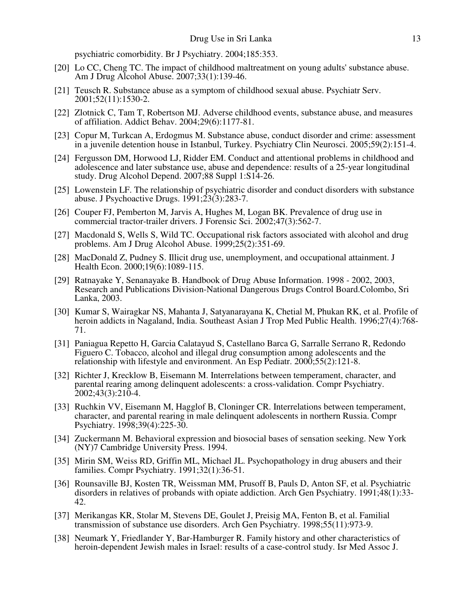psychiatric comorbidity. Br J Psychiatry. 2004;185:353.

- [20] Lo CC, Cheng TC. The impact of childhood maltreatment on young adults' substance abuse. Am J Drug Alcohol Abuse. 2007;33(1):139-46.
- [21] Teusch R. Substance abuse as a symptom of childhood sexual abuse. Psychiatr Serv. 2001;52(11):1530-2.
- [22] Zlotnick C, Tam T, Robertson MJ. Adverse childhood events, substance abuse, and measures of affiliation. Addict Behav. 2004;29(6):1177-81.
- [23] Copur M, Turkcan A, Erdogmus M. Substance abuse, conduct disorder and crime: assessment in a juvenile detention house in Istanbul, Turkey. Psychiatry Clin Neurosci. 2005;59(2):151-4.
- [24] Fergusson DM, Horwood LJ, Ridder EM. Conduct and attentional problems in childhood and adolescence and later substance use, abuse and dependence: results of a 25-year longitudinal study. Drug Alcohol Depend. 2007;88 Suppl 1:S14-26.
- [25] Lowenstein LF. The relationship of psychiatric disorder and conduct disorders with substance abuse. J Psychoactive Drugs.  $1991;23(3):283-7$ .
- [26] Couper FJ, Pemberton M, Jarvis A, Hughes M, Logan BK. Prevalence of drug use in commercial tractor-trailer drivers. J Forensic Sci. 2002;47(3):562-7.
- [27] Macdonald S, Wells S, Wild TC. Occupational risk factors associated with alcohol and drug problems. Am J Drug Alcohol Abuse. 1999;25(2):351-69.
- [28] MacDonald Z, Pudney S. Illicit drug use, unemployment, and occupational attainment. J Health Econ. 2000;19(6):1089-115.
- [29] Ratnayake Y, Senanayake B. Handbook of Drug Abuse Information. 1998 2002, 2003, Research and Publications Division-National Dangerous Drugs Control Board.Colombo, Sri Lanka, 2003.
- [30] Kumar S, Wairagkar NS, Mahanta J, Satyanarayana K, Chetial M, Phukan RK, et al. Profile of heroin addicts in Nagaland, India. Southeast Asian J Trop Med Public Health. 1996;27(4):768- 71.
- [31] Paniagua Repetto H, Garcia Calatayud S, Castellano Barca G, Sarralle Serrano R, Redondo Figuero C. Tobacco, alcohol and illegal drug consumption among adolescents and the relationship with lifestyle and environment. An Esp Pediatr. 2000;55(2):121-8.
- [32] Richter J, Krecklow B, Eisemann M. Interrelations between temperament, character, and parental rearing among delinquent adolescents: a cross-validation. Compr Psychiatry. 2002;43(3):210-4.
- [33] Ruchkin VV, Eisemann M, Hagglof B, Cloninger CR. Interrelations between temperament, character, and parental rearing in male delinquent adolescents in northern Russia. Compr Psychiatry. 1998;39(4):225-30.
- [34] Zuckermann M. Behavioral expression and biosocial bases of sensation seeking. New York (NY)7 Cambridge University Press. 1994.
- [35] Mirin SM, Weiss RD, Griffin ML, Michael JL. Psychopathology in drug abusers and their families. Compr Psychiatry. 1991;32(1):36-51.
- [36] Rounsaville BJ, Kosten TR, Weissman MM, Prusoff B, Pauls D, Anton SF, et al. Psychiatric disorders in relatives of probands with opiate addiction. Arch Gen Psychiatry. 1991;48(1):33- 42.
- [37] Merikangas KR, Stolar M, Stevens DE, Goulet J, Preisig MA, Fenton B, et al. Familial transmission of substance use disorders. Arch Gen Psychiatry. 1998;55(11):973-9.
- [38] Neumark Y, Friedlander Y, Bar-Hamburger R. Family history and other characteristics of heroin-dependent Jewish males in Israel: results of a case-control study. Isr Med Assoc J.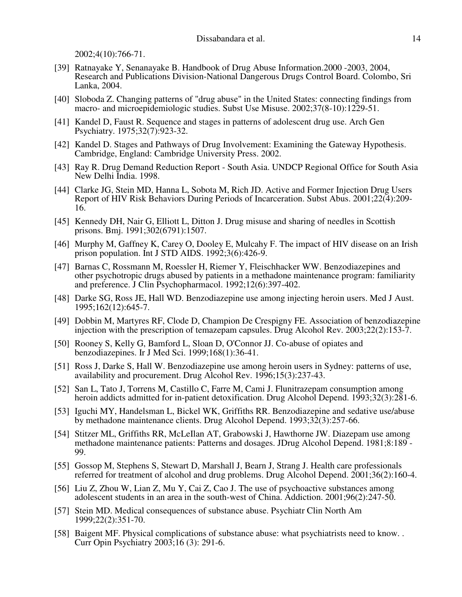2002;4(10):766-71.

- [39] Ratnayake Y, Senanayake B. Handbook of Drug Abuse Information.2000 -2003, 2004, Research and Publications Division-National Dangerous Drugs Control Board. Colombo, Sri Lanka, 2004.
- [40] Sloboda Z. Changing patterns of "drug abuse" in the United States: connecting findings from macro- and microepidemiologic studies. Subst Use Misuse. 2002;37(8-10):1229-51.
- [41] Kandel D, Faust R. Sequence and stages in patterns of adolescent drug use. Arch Gen Psychiatry. 1975;32(7):923-32.
- [42] Kandel D. Stages and Pathways of Drug Involvement: Examining the Gateway Hypothesis. Cambridge, England: Cambridge University Press. 2002.
- [43] Ray R. Drug Demand Reduction Report South Asia. UNDCP Regional Office for South Asia New Delhi India. 1998.
- [44] Clarke JG, Stein MD, Hanna L, Sobota M, Rich JD. Active and Former Injection Drug Users Report of HIV Risk Behaviors During Periods of Incarceration. Subst Abus. 2001;22(4):209- 16.
- [45] Kennedy DH, Nair G, Elliott L, Ditton J. Drug misuse and sharing of needles in Scottish prisons. Bmj. 1991;302(6791):1507.
- [46] Murphy M, Gaffney K, Carey O, Dooley E, Mulcahy F. The impact of HIV disease on an Irish prison population. Int J STD AIDS. 1992;3(6):426-9.
- [47] Barnas C, Rossmann M, Roessler H, Riemer Y, Fleischhacker WW. Benzodiazepines and other psychotropic drugs abused by patients in a methadone maintenance program: familiarity and preference. J Clin Psychopharmacol. 1992;12(6):397-402.
- [48] Darke SG, Ross JE, Hall WD. Benzodiazepine use among injecting heroin users. Med J Aust. 1995;162(12):645-7.
- [49] Dobbin M, Martyres RF, Clode D, Champion De Crespigny FE. Association of benzodiazepine injection with the prescription of temazepam capsules. Drug Alcohol Rev. 2003;22(2):153-7.
- [50] Rooney S, Kelly G, Bamford L, Sloan D, O'Connor JJ. Co-abuse of opiates and benzodiazepines. Ir J Med Sci. 1999;168(1):36-41.
- [51] Ross J, Darke S, Hall W. Benzodiazepine use among heroin users in Sydney: patterns of use, availability and procurement. Drug Alcohol Rev. 1996;15(3):237-43.
- [52] San L, Tato J, Torrens M, Castillo C, Farre M, Cami J. Flunitrazepam consumption among heroin addicts admitted for in-patient detoxification. Drug Alcohol Depend. 1993;32(3):281-6.
- [53] Iguchi MY, Handelsman L, Bickel WK, Griffiths RR. Benzodiazepine and sedative use/abuse by methadone maintenance clients. Drug Alcohol Depend. 1993;32(3):257-66.
- [54] Stitzer ML, Griffiths RR, McLeIlan AT, Grabowski J, Hawthorne JW. Diazepam use among methadone maintenance patients: Patterns and dosages. JDrug Alcohol Depend. 1981;8:189 - 99.
- [55] Gossop M, Stephens S, Stewart D, Marshall J, Bearn J, Strang J. Health care professionals referred for treatment of alcohol and drug problems. Drug Alcohol Depend. 2001;36(2):160-4.
- [56] Liu Z, Zhou W, Lian Z, Mu Y, Cai Z, Cao J. The use of psychoactive substances among adolescent students in an area in the south-west of China. Addiction. 2001;96(2):247-50.
- [57] Stein MD. Medical consequences of substance abuse. Psychiatr Clin North Am 1999;22(2):351-70.
- [58] Baigent MF. Physical complications of substance abuse: what psychiatrists need to know... Curr Opin Psychiatry 2003;16 (3): 291-6.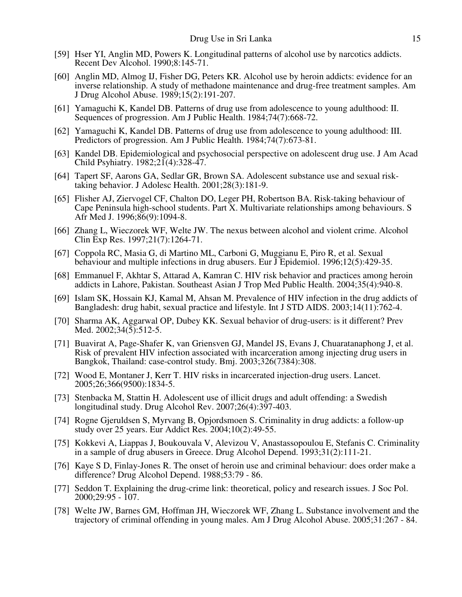- [59] Hser YI, Anglin MD, Powers K. Longitudinal patterns of alcohol use by narcotics addicts. Recent Dev Alcohol. 1990;8:145-71.
- [60] Anglin MD, Almog IJ, Fisher DG, Peters KR. Alcohol use by heroin addicts: evidence for an inverse relationship. A study of methadone maintenance and drug-free treatment samples. Am J Drug Alcohol Abuse. 1989;15(2):191-207.
- [61] Yamaguchi K, Kandel DB. Patterns of drug use from adolescence to young adulthood: II. Sequences of progression. Am J Public Health. 1984;74(7):668-72.
- [62] Yamaguchi K, Kandel DB. Patterns of drug use from adolescence to young adulthood: III. Predictors of progression. Am J Public Health. 1984;74(7):673-81.
- [63] Kandel DB. Epidemiological and psychosocial perspective on adolescent drug use. J Am Acad Child Psyhiatry. 1982;21(4):328-47.
- [64] Tapert SF, Aarons GA, Sedlar GR, Brown SA. Adolescent substance use and sexual risktaking behavior. J Adolesc Health. 2001;28(3):181-9.
- [65] Flisher AJ, Ziervogel CF, Chalton DO, Leger PH, Robertson BA. Risk-taking behaviour of Cape Peninsula high-school students. Part X. Multivariate relationships among behaviours. S Afr Med J. 1996;86(9):1094-8.
- [66] Zhang L, Wieczorek WF, Welte JW. The nexus between alcohol and violent crime. Alcohol Clin Exp Res. 1997;21(7):1264-71.
- [67] Coppola RC, Masia G, di Martino ML, Carboni G, Muggianu E, Piro R, et al. Sexual behaviour and multiple infections in drug abusers. Eur J Epidemiol. 1996;12(5):429-35.
- [68] Emmanuel F, Akhtar S, Attarad A, Kamran C. HIV risk behavior and practices among heroin addicts in Lahore, Pakistan. Southeast Asian J Trop Med Public Health. 2004;35(4):940-8.
- [69] Islam SK, Hossain KJ, Kamal M, Ahsan M. Prevalence of HIV infection in the drug addicts of Bangladesh: drug habit, sexual practice and lifestyle. Int J STD AIDS. 2003;14(11):762-4.
- [70] Sharma AK, Aggarwal OP, Dubey KK. Sexual behavior of drug-users: is it different? Prev Med. 2002;34(5):512-5.
- [71] Buavirat A, Page-Shafer K, van Griensven GJ, Mandel JS, Evans J, Chuaratanaphong J, et al. Risk of prevalent HIV infection associated with incarceration among injecting drug users in Bangkok, Thailand: case-control study. Bmj. 2003;326(7384):308.
- [72] Wood E, Montaner J, Kerr T. HIV risks in incarcerated injection-drug users. Lancet. 2005;26;366(9500):1834-5.
- [73] Stenbacka M, Stattin H. Adolescent use of illicit drugs and adult offending: a Swedish longitudinal study. Drug Alcohol Rev. 2007;26(4):397-403.
- [74] Rogne Gjeruldsen S, Myrvang B, Opjordsmoen S. Criminality in drug addicts: a follow-up study over 25 years. Eur Addict Res. 2004;10(2):49-55.
- [75] Kokkevi A, Liappas J, Boukouvala V, Alevizou V, Anastassopoulou E, Stefanis C. Criminality in a sample of drug abusers in Greece. Drug Alcohol Depend. 1993;31(2):111-21.
- [76] Kaye S D, Finlay-Jones R. The onset of heroin use and criminal behaviour: does order make a difference? Drug Alcohol Depend. 1988;53:79 - 86.
- [77] Seddon T. Explaining the drug-crime link: theoretical, policy and research issues. J Soc Pol. 2000;29:95 - 107.
- [78] Welte JW, Barnes GM, Hoffman JH, Wieczorek WF, Zhang L. Substance involvement and the trajectory of criminal offending in young males. Am J Drug Alcohol Abuse. 2005;31:267 - 84.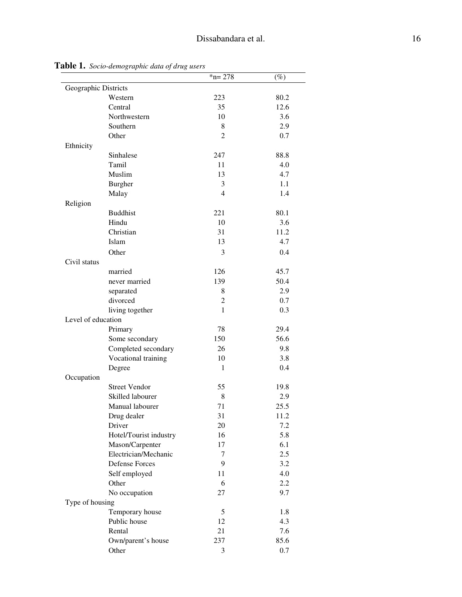|                      |                        | $*n = 278$     | $(\%)$ |
|----------------------|------------------------|----------------|--------|
| Geographic Districts |                        |                |        |
|                      | Western                | 223            | 80.2   |
|                      | Central                | 35             | 12.6   |
|                      | Northwestern           | 10             | 3.6    |
|                      | Southern               | 8              | 2.9    |
|                      | Other                  | 2              | 0.7    |
| Ethnicity            |                        |                |        |
|                      | Sinhalese              | 247            | 88.8   |
|                      | Tamil                  | 11             | 4.0    |
|                      | Muslim                 | 13             | 4.7    |
|                      | <b>Burgher</b>         | 3              | 1.1    |
|                      | Malay                  | $\overline{4}$ | 1.4    |
| Religion             |                        |                |        |
|                      | <b>Buddhist</b>        | 221            | 80.1   |
|                      | Hindu                  | 10             | 3.6    |
|                      | Christian              | 31             | 11.2   |
|                      | Islam                  | 13             | 4.7    |
|                      | Other                  | 3              | 0.4    |
| Civil status         |                        |                |        |
|                      | married                | 126            | 45.7   |
|                      | never married          | 139            | 50.4   |
|                      | separated              | 8              | 2.9    |
|                      | divorced               | $\overline{c}$ | 0.7    |
|                      | living together        | $\mathbf{1}$   | 0.3    |
| Level of education   |                        |                |        |
|                      | Primary                | 78             | 29.4   |
|                      | Some secondary         | 150            | 56.6   |
|                      | Completed secondary    | 26             | 9.8    |
|                      | Vocational training    | 10             | 3.8    |
|                      | Degree                 | $\mathbf{1}$   | 0.4    |
| Occupation           |                        |                |        |
|                      | <b>Street Vendor</b>   | 55             | 19.8   |
|                      | Skilled labourer       | 8              | 2.9    |
|                      | Manual labourer        | 71             | 25.5   |
|                      | Drug dealer            | 31             | 11.2   |
|                      | Driver                 | 20             | 7.2    |
|                      | Hotel/Tourist industry | 16             | 5.8    |
|                      | Mason/Carpenter        | 17             | 6.1    |
|                      | Electrician/Mechanic   | 7              | 2.5    |
|                      | <b>Defense Forces</b>  | 9              | 3.2    |
|                      | Self employed          | 11             | 4.0    |
|                      | Other                  | 6              | 2.2    |
|                      | No occupation          | 27             | 9.7    |
| Type of housing      |                        |                |        |
|                      | Temporary house        | 5              | 1.8    |
|                      | Public house           | 12             | 4.3    |
|                      | Rental                 | 21             | 7.6    |
|                      | Own/parent's house     | 237            | 85.6   |
|                      | Other                  | 3              | 0.7    |

**Table 1.** *Socio-demographic data of drug users*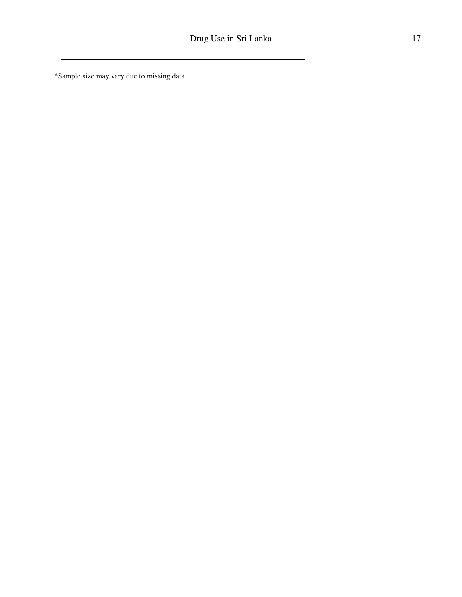\*Sample size may vary due to missing data.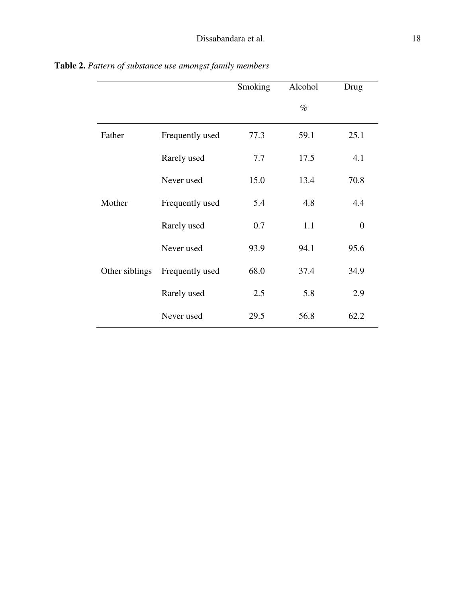|                |                 | Smoking | Alcohol | Drug           |
|----------------|-----------------|---------|---------|----------------|
|                |                 |         | $\%$    |                |
| Father         | Frequently used | 77.3    | 59.1    | 25.1           |
|                | Rarely used     | 7.7     | 17.5    | 4.1            |
|                | Never used      | 15.0    | 13.4    | 70.8           |
| Mother         | Frequently used | 5.4     | 4.8     | 4.4            |
|                | Rarely used     | 0.7     | 1.1     | $\overline{0}$ |
|                | Never used      | 93.9    | 94.1    | 95.6           |
| Other siblings | Frequently used | 68.0    | 37.4    | 34.9           |
|                | Rarely used     | 2.5     | 5.8     | 2.9            |
|                | Never used      | 29.5    | 56.8    | 62.2           |

**Table 2.** *Pattern of substance use amongst family members*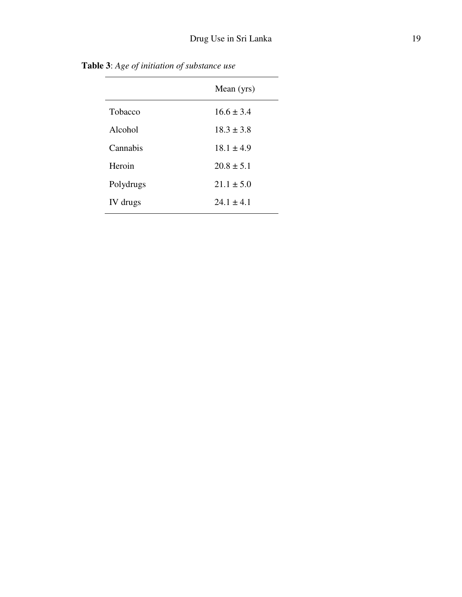**Table 3**: *Age of initiation of substance use*

 $\overline{a}$ 

|                | Mean (yrs)     |
|----------------|----------------|
| <b>Tobacco</b> | $16.6 \pm 3.4$ |
| Alcohol        | $18.3 \pm 3.8$ |
| Cannabis       | $18.1 \pm 4.9$ |
| Heroin         | $20.8 \pm 5.1$ |
| Polydrugs      | $21.1 \pm 5.0$ |
| IV drugs       | $24.1 + 4.1$   |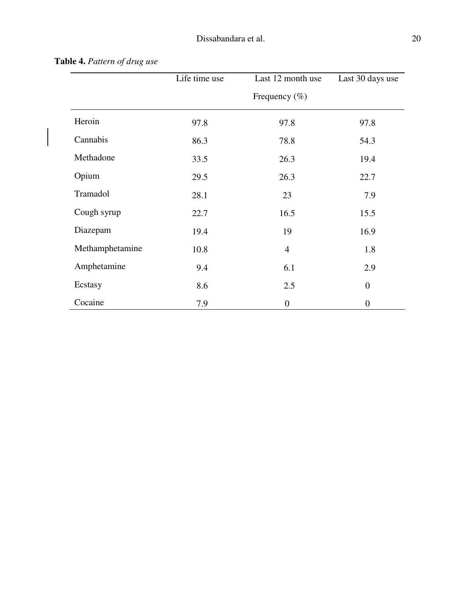|                 | Life time use | Last 12 month use<br>Frequency $(\% )$ | Last 30 days use |
|-----------------|---------------|----------------------------------------|------------------|
| Heroin          | 97.8          | 97.8                                   | 97.8             |
| Cannabis        | 86.3          | 78.8                                   | 54.3             |
| Methadone       | 33.5          | 26.3                                   | 19.4             |
| Opium           | 29.5          | 26.3                                   | 22.7             |
| Tramadol        | 28.1          | 23                                     | 7.9              |
| Cough syrup     | 22.7          | 16.5                                   | 15.5             |
| Diazepam        | 19.4          | 19                                     | 16.9             |
| Methamphetamine | 10.8          | $\overline{4}$                         | 1.8              |
| Amphetamine     | 9.4           | 6.1                                    | 2.9              |
| Ecstasy         | 8.6           | 2.5                                    | $\boldsymbol{0}$ |
| Cocaine         | 7.9           | $\boldsymbol{0}$                       | $\boldsymbol{0}$ |

**Table 4.** *Pattern of drug use*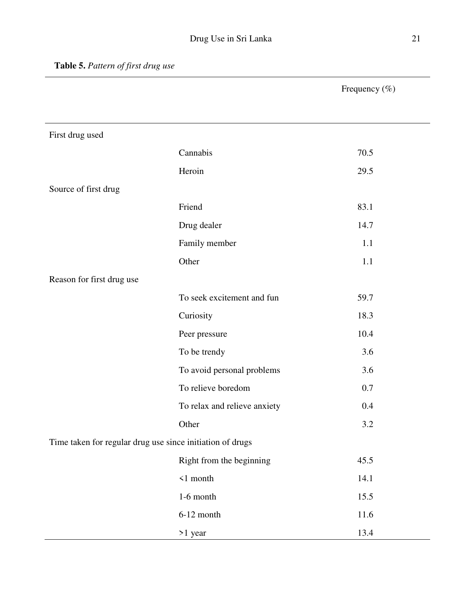Frequency (%)

| First drug used                                           |                              |      |  |  |
|-----------------------------------------------------------|------------------------------|------|--|--|
|                                                           | Cannabis                     | 70.5 |  |  |
|                                                           | Heroin                       | 29.5 |  |  |
| Source of first drug                                      |                              |      |  |  |
|                                                           | Friend                       | 83.1 |  |  |
|                                                           | Drug dealer                  | 14.7 |  |  |
|                                                           | Family member                | 1.1  |  |  |
|                                                           | Other                        | 1.1  |  |  |
| Reason for first drug use                                 |                              |      |  |  |
|                                                           | To seek excitement and fun   | 59.7 |  |  |
|                                                           | Curiosity                    | 18.3 |  |  |
|                                                           | Peer pressure                | 10.4 |  |  |
|                                                           | To be trendy                 | 3.6  |  |  |
|                                                           | To avoid personal problems   | 3.6  |  |  |
|                                                           | To relieve boredom           | 0.7  |  |  |
|                                                           | To relax and relieve anxiety | 0.4  |  |  |
|                                                           | Other                        | 3.2  |  |  |
| Time taken for regular drug use since initiation of drugs |                              |      |  |  |
|                                                           | Right from the beginning     | 45.5 |  |  |
|                                                           | $\leq 1$ month               | 14.1 |  |  |
|                                                           | $1-6$ month                  | 15.5 |  |  |
|                                                           | $6-12$ month                 | 11.6 |  |  |
|                                                           | >1 year                      | 13.4 |  |  |